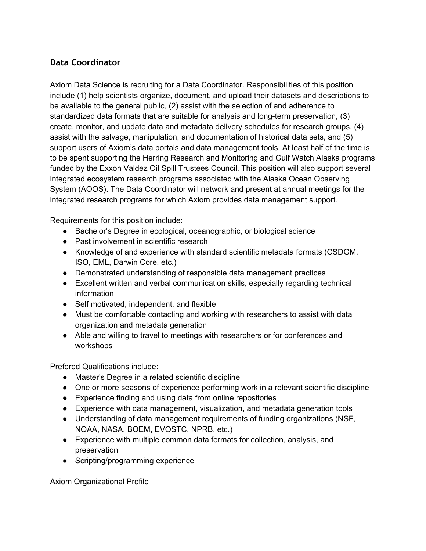## **Data Coordinator**

Axiom Data Science is recruiting for a Data Coordinator. Responsibilities of this position include (1) help scientists organize, document, and upload their datasets and descriptions to be available to the general public, (2) assist with the selection of and adherence to standardized data formats that are suitable for analysis and long-term preservation, (3) create, monitor, and update data and metadata delivery schedules for research groups, (4) assist with the salvage, manipulation, and documentation of historical data sets, and (5) support users of Axiom's data portals and data management tools. At least half of the time is to be spent supporting the Herring Research and Monitoring and Gulf Watch Alaska programs funded by the Exxon Valdez Oil Spill Trustees Council. This position will also support several integrated ecosystem research programs associated with the Alaska Ocean Observing System (AOOS). The Data Coordinator will network and present at annual meetings for the integrated research programs for which Axiom provides data management support.

Requirements for this position include:

- Bachelor's Degree in ecological, oceanographic, or biological science
- Past involvement in scientific research
- Knowledge of and experience with standard scientific metadata formats (CSDGM, ISO, EML, Darwin Core, etc.)
- Demonstrated understanding of responsible data management practices
- Excellent written and verbal communication skills, especially regarding technical information
- Self motivated, independent, and flexible
- Must be comfortable contacting and working with researchers to assist with data organization and metadata generation
- Able and willing to travel to meetings with researchers or for conferences and workshops

Prefered Qualifications include:

- Master's Degree in a related scientific discipline
- One or more seasons of experience performing work in a relevant scientific discipline
- Experience finding and using data from online repositories
- Experience with data management, visualization, and metadata generation tools
- Understanding of data management requirements of funding organizations (NSF, NOAA, NASA, BOEM, EVOSTC, NPRB, etc.)
- Experience with multiple common data formats for collection, analysis, and preservation
- Scripting/programming experience

Axiom Organizational Profile